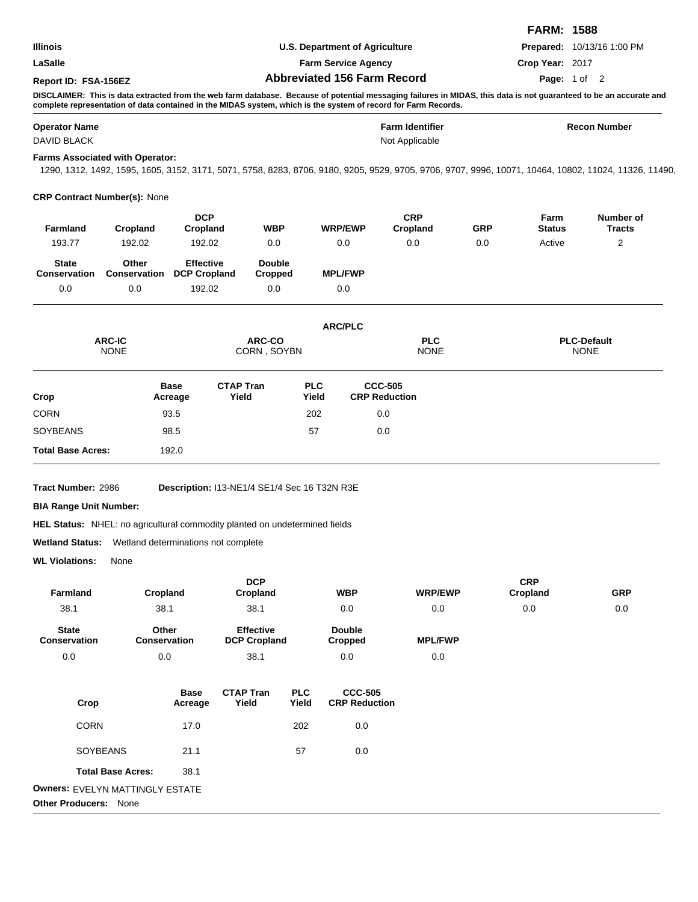|                                            |                                        |                                                                                                                |                                    |                                          |                                        |                | <b>FARM: 1588</b>                 |                                                                                                                                                                    |  |
|--------------------------------------------|----------------------------------------|----------------------------------------------------------------------------------------------------------------|------------------------------------|------------------------------------------|----------------------------------------|----------------|-----------------------------------|--------------------------------------------------------------------------------------------------------------------------------------------------------------------|--|
| <b>Illinois</b>                            |                                        |                                                                                                                | U.S. Department of Agriculture     |                                          |                                        |                |                                   | Prepared: 10/13/16 1:00 PM                                                                                                                                         |  |
| LaSalle                                    |                                        |                                                                                                                | <b>Farm Service Agency</b>         |                                          |                                        |                | Crop Year: 2017                   |                                                                                                                                                                    |  |
| Report ID: FSA-156EZ                       |                                        |                                                                                                                | <b>Abbreviated 156 Farm Record</b> |                                          |                                        |                | Page: 1 of 2                      |                                                                                                                                                                    |  |
|                                            |                                        | complete representation of data contained in the MIDAS system, which is the system of record for Farm Records. |                                    |                                          |                                        |                |                                   | DISCLAIMER: This is data extracted from the web farm database. Because of potential messaging failures in MIDAS, this data is not guaranteed to be an accurate and |  |
| <b>Operator Name</b><br><b>DAVID BLACK</b> |                                        |                                                                                                                |                                    | <b>Farm Identifier</b><br>Not Applicable |                                        |                | <b>Recon Number</b>               |                                                                                                                                                                    |  |
|                                            | <b>Farms Associated with Operator:</b> |                                                                                                                |                                    |                                          |                                        |                |                                   | 1290, 1312, 1492, 1595, 1605, 3152, 3171, 5071, 5758, 8283, 8706, 9180, 9205, 9529, 9705, 9706, 9707, 9996, 10071, 10464, 10802, 11024, 11326, 11490,              |  |
|                                            | <b>CRP Contract Number(s): None</b>    |                                                                                                                |                                    |                                          |                                        |                |                                   |                                                                                                                                                                    |  |
| Farmland                                   | <b>DCP</b><br>Cropland<br>Cropland     |                                                                                                                | <b>WBP</b>                         | <b>WRP/EWP</b>                           | <b>CRP</b><br>Cropland                 | <b>GRP</b>     | Farm<br><b>Status</b>             | Number of<br><b>Tracts</b>                                                                                                                                         |  |
| 193.77                                     | 192.02                                 | 192.02                                                                                                         | 0.0                                | 0.0                                      | 0.0                                    | 0.0            | Active                            | 2                                                                                                                                                                  |  |
| <b>State</b><br><b>Conservation</b>        | Other<br><b>Conservation</b>           | <b>Effective</b><br><b>DCP Cropland</b>                                                                        | <b>Double</b><br>Cropped           | <b>MPL/FWP</b>                           |                                        |                |                                   |                                                                                                                                                                    |  |
| 0.0                                        | 0.0                                    | 192.02                                                                                                         | 0.0                                | 0.0                                      |                                        |                |                                   |                                                                                                                                                                    |  |
|                                            |                                        |                                                                                                                |                                    | <b>ARC/PLC</b>                           |                                        |                |                                   |                                                                                                                                                                    |  |
| <b>ARC-IC</b><br><b>NONE</b>               |                                        |                                                                                                                | <b>ARC-CO</b><br>CORN, SOYBN       |                                          | <b>PLC</b><br><b>NONE</b>              |                | <b>PLC-Default</b><br><b>NONE</b> |                                                                                                                                                                    |  |
| Crop                                       |                                        | <b>CTAP Tran</b><br><b>Base</b><br>Yield<br>Acreage                                                            |                                    | <b>PLC</b><br>Yield                      | <b>CCC-505</b><br><b>CRP Reduction</b> |                |                                   |                                                                                                                                                                    |  |
| CORN                                       |                                        | 93.5                                                                                                           |                                    | 202                                      | 0.0                                    |                |                                   |                                                                                                                                                                    |  |
| SOYBEANS                                   | 98.5                                   |                                                                                                                |                                    | 57                                       | 0.0                                    |                |                                   |                                                                                                                                                                    |  |
| <b>Total Base Acres:</b>                   |                                        | 192.0                                                                                                          |                                    |                                          |                                        |                |                                   |                                                                                                                                                                    |  |
| Tract Number: 2986                         |                                        | Description: I13-NE1/4 SE1/4 Sec 16 T32N R3E                                                                   |                                    |                                          |                                        |                |                                   |                                                                                                                                                                    |  |
| <b>BIA Range Unit Number:</b>              |                                        |                                                                                                                |                                    |                                          |                                        |                |                                   |                                                                                                                                                                    |  |
|                                            |                                        | <b>HEL Status:</b> NHEL: no agricultural commodity planted on undetermined fields                              |                                    |                                          |                                        |                |                                   |                                                                                                                                                                    |  |
| Wetland Status:                            |                                        | Wetland determinations not complete                                                                            |                                    |                                          |                                        |                |                                   |                                                                                                                                                                    |  |
| <b>WL Violations:</b>                      | None                                   |                                                                                                                |                                    |                                          |                                        |                |                                   |                                                                                                                                                                    |  |
| Farmland                                   | Cropland                               |                                                                                                                | <b>DCP</b><br>Cropland             | <b>WBP</b>                               |                                        | <b>WRP/EWP</b> | <b>CRP</b><br>Cropland            | <b>GRP</b>                                                                                                                                                         |  |
| 38.1                                       | 38.1                                   |                                                                                                                | 38.1                               | 0.0                                      |                                        | 0.0            | 0.0                               | 0.0                                                                                                                                                                |  |

**State Conservation Other Conservation Effective DCP Cropland Double Cropped MPL/FWP** 0.0 0.0 38.1 0.0 0.0 38.1

| Crop                            | Base<br>Acreage | <b>CTAP Tran</b><br>Yield | <b>PLC</b><br>Yield | <b>CCC-505</b><br><b>CRP Reduction</b> |  |  |  |
|---------------------------------|-----------------|---------------------------|---------------------|----------------------------------------|--|--|--|
| <b>CORN</b>                     | 17.0            |                           | 202                 | 0.0                                    |  |  |  |
| <b>SOYBEANS</b>                 | 21.1            |                           | 57                  | 0.0                                    |  |  |  |
| <b>Total Base Acres:</b>        | 38.1            |                           |                     |                                        |  |  |  |
| Owners: EVELYN MATTINGLY ESTATE |                 |                           |                     |                                        |  |  |  |
| <b>Other Producers:</b><br>None |                 |                           |                     |                                        |  |  |  |